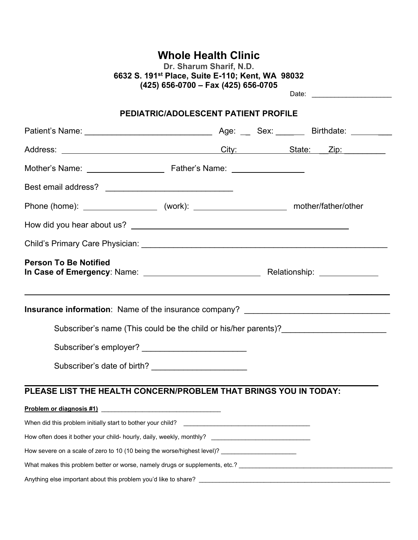# **Whole Health Clinic**

**Dr. Sharum Sharif, N.D. 6632 S. 191st Place, Suite E-110; Kent, WA 98032 (425) 656-0700 – Fax (425) 656-0705** Date: \_\_\_\_\_\_\_\_\_\_\_\_\_\_\_\_\_\_\_\_\_

## **PEDIATRIC/ADOLESCENT PATIENT PROFILE**

| <b>Person To Be Notified</b>                                                                                                                                                                                                   |  |  |
|--------------------------------------------------------------------------------------------------------------------------------------------------------------------------------------------------------------------------------|--|--|
| Insurance information: Name of the insurance company? ___________________________                                                                                                                                              |  |  |
| Subscriber's name (This could be the child or his/her parents)? _______________________                                                                                                                                        |  |  |
|                                                                                                                                                                                                                                |  |  |
| Subscriber's date of birth?                                                                                                                                                                                                    |  |  |
| PLEASE LIST THE HEALTH CONCERN/PROBLEM THAT BRINGS YOU IN TODAY:                                                                                                                                                               |  |  |
|                                                                                                                                                                                                                                |  |  |
|                                                                                                                                                                                                                                |  |  |
| How often does it bother your child- hourly, daily, weekly, monthly? ______________________________                                                                                                                            |  |  |
| How severe on a scale of zero to 10 (10 being the worse/highest level)? ___________________________                                                                                                                            |  |  |
| What makes this problem better or worse, namely drugs or supplements, etc.? [16] Mathematic marketing mathematic methods of the Mathematic methods of the Mathematic methods of the Mathematic methods of the Mathematic metho |  |  |
|                                                                                                                                                                                                                                |  |  |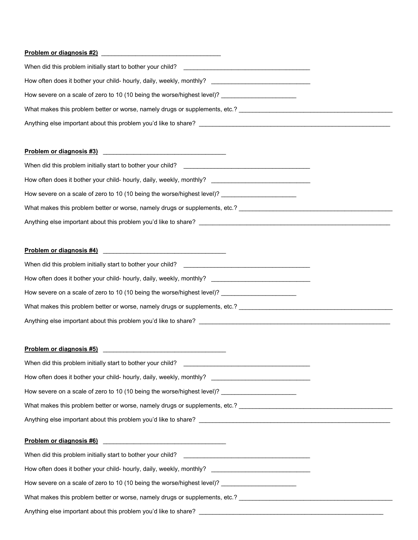#### **Problem or diagnosis #2)** \_\_\_\_\_\_\_\_\_\_\_\_\_\_\_\_\_\_\_\_\_\_\_\_\_\_\_\_\_\_\_\_\_\_\_

| When did this problem initially start to bother your child?                 |  |
|-----------------------------------------------------------------------------|--|
| How often does it bother your child- hourly, daily, weekly, monthly?        |  |
| How severe on a scale of zero to 10 (10 being the worse/highest level)?     |  |
| What makes this problem better or worse, namely drugs or supplements, etc.? |  |
| Anything else important about this problem you'd like to share?             |  |

### **Problem or diagnosis #3)** \_\_\_\_\_\_\_\_\_\_\_\_\_\_\_\_\_\_\_\_\_\_\_\_\_\_\_\_\_\_\_\_\_\_\_\_

| When did this problem initially start to bother your child?                                                                                             |  |
|---------------------------------------------------------------------------------------------------------------------------------------------------------|--|
| How often does it bother your child- hourly, daily, weekly, monthly?<br>the contract of the contract of the contract of the contract of the contract of |  |
| How severe on a scale of zero to 10 (10 being the worse/highest level)?                                                                                 |  |
| What makes this problem better or worse, namely drugs or supplements, etc.?                                                                             |  |
| Anything else important about this problem you'd like to share?                                                                                         |  |

### **Problem or diagnosis #4)** \_\_\_\_\_\_\_\_\_\_\_\_\_\_\_\_\_\_\_\_\_\_\_\_\_\_\_\_\_\_\_\_\_\_\_\_

| When did this problem initially start to bother your child?                 |  |
|-----------------------------------------------------------------------------|--|
| How often does it bother your child- hourly, daily, weekly, monthly?        |  |
| How severe on a scale of zero to 10 (10 being the worse/highest level)?     |  |
| What makes this problem better or worse, namely drugs or supplements, etc.? |  |
| Anything else important about this problem you'd like to share?             |  |

#### **Problem or diagnosis #5)** \_\_\_\_\_\_\_\_\_\_\_\_\_\_\_\_\_\_\_\_\_\_\_\_\_\_\_\_\_\_\_\_\_\_\_\_

| How often does it bother your child- hourly, daily, weekly, monthly? ______________________________                                                           |
|---------------------------------------------------------------------------------------------------------------------------------------------------------------|
|                                                                                                                                                               |
| What makes this problem better or worse, namely drugs or supplements, etc.? [14] Mathematics this problem better or worse, namely drugs or supplements, etc.? |
|                                                                                                                                                               |
|                                                                                                                                                               |
|                                                                                                                                                               |
|                                                                                                                                                               |
| How often does it bother your child- hourly, daily, weekly, monthly? ______________________________                                                           |
| How severe on a scale of zero to 10 (10 being the worse/highest level)?                                                                                       |

Anything else important about this problem you'd like to share? \_\_\_\_\_\_\_\_\_\_\_\_\_\_\_\_\_\_\_\_\_\_\_\_\_\_\_\_\_\_\_\_\_\_\_\_\_\_\_\_\_\_\_\_\_\_\_\_\_\_\_\_\_\_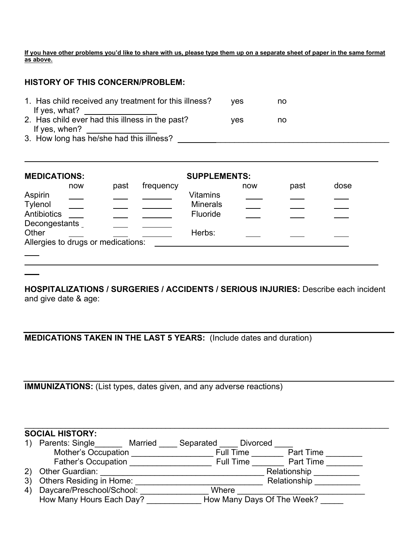**If you have other problems you'd like to share with us, please type them up on a separate sheet of paper in the same format as above.** 

### **HISTORY OF THIS CONCERN/PROBLEM:**

| 1. Has child received any treatment for this illness? | <b>ves</b> | no |
|-------------------------------------------------------|------------|----|
| If yes, what?                                         |            |    |
| 2. Has child ever had this illness in the past?       | ves        | no |
| If yes, when?                                         |            |    |
| 3. How long has he/she had this illness?              |            |    |

| <b>MEDICATIONS:</b>                                          |     |      |           | <b>SUPPLEMENTS:</b>                            |     |      |      |  |  |
|--------------------------------------------------------------|-----|------|-----------|------------------------------------------------|-----|------|------|--|--|
|                                                              | now | past | frequency |                                                | now | past | dose |  |  |
| Aspirin<br>Tylenol<br>Antibiotics                            |     |      |           | <b>Vitamins</b><br><b>Minerals</b><br>Fluoride |     |      |      |  |  |
| Decongestants<br>Other<br>Allergies to drugs or medications: |     |      |           | Herbs:                                         |     |      |      |  |  |
|                                                              |     |      |           |                                                |     |      |      |  |  |

**HOSPITALIZATIONS / SURGERIES / ACCIDENTS / SERIOUS INJURIES:** Describe each incident and give date & age:

**MEDICATIONS TAKEN IN THE LAST 5 YEARS:** (Include dates and duration)

**IMMUNIZATIONS:** (List types, dates given, and any adverse reactions)

#### \_\_\_\_\_\_\_\_\_\_\_\_\_\_\_\_\_\_\_\_\_\_\_\_\_\_\_\_\_\_\_\_\_\_\_\_\_\_\_\_\_\_\_\_\_\_\_\_\_\_\_\_\_\_\_\_\_\_\_\_\_\_\_\_\_\_\_\_\_\_\_\_\_\_\_\_\_\_\_\_ **SOCIAL HISTORY:**

|     | Parents: Single<br>Married | Separated<br><b>Divorced</b>  |
|-----|----------------------------|-------------------------------|
|     | <b>Mother's Occupation</b> | <b>Full Time</b><br>Part Time |
|     | <b>Father's Occupation</b> | Part Time<br><b>Full Time</b> |
| (2) | Other Guardian:            | Relationship                  |
| 3)  | Others Residing in Home:   | Relationship                  |
| 4)  | Daycare/Preschool/School:  | Where                         |
|     | How Many Hours Each Day?   | How Many Days Of The Week?    |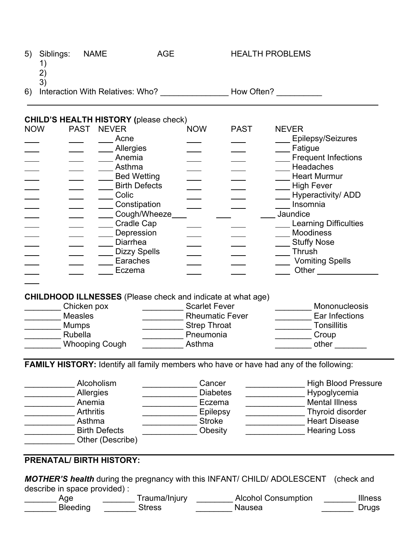| 5)         | Siblings:<br>1)<br>2)                                                                                                          | <b>NAME</b>                                                                                                                         | <b>AGE</b>                                                                                        |                                                                                              | <b>HEALTH PROBLEMS</b> |                                                                                                                                                                                                                                                                                                        |
|------------|--------------------------------------------------------------------------------------------------------------------------------|-------------------------------------------------------------------------------------------------------------------------------------|---------------------------------------------------------------------------------------------------|----------------------------------------------------------------------------------------------|------------------------|--------------------------------------------------------------------------------------------------------------------------------------------------------------------------------------------------------------------------------------------------------------------------------------------------------|
| 6)         | 3)                                                                                                                             |                                                                                                                                     |                                                                                                   |                                                                                              |                        | Interaction With Relatives: Who? How Often?                                                                                                                                                                                                                                                            |
| <b>NOW</b> | <b>CHILD'S HEALTH HISTORY (please check)</b><br><b>PAST</b>                                                                    | <b>NEVER</b><br>Acne<br>Allergies<br>Anemia<br>Asthma<br>Colic<br>Cradle Cap<br>Depression<br><b>Diarrhea</b><br>Earaches<br>Eczema | <b>Bed Wetting</b><br><b>Birth Defects</b><br>Constipation<br>Cough/Wheeze<br><b>Dizzy Spells</b> | <b>NOW</b>                                                                                   | <b>PAST</b>            | <b>NEVER</b><br>Epilepsy/Seizures<br>Fatigue<br><b>Frequent Infections</b><br>Headaches<br><b>Heart Murmur</b><br><b>High Fever</b><br><b>Hyperactivity/ ADD</b><br>Insomnia<br>Jaundice<br><b>Learning Difficulties</b><br><b>Moodiness</b><br><b>Stuffy Nose</b><br>Thrush<br><b>Vomiting Spells</b> |
|            | <b>CHILDHOOD ILLNESSES</b> (Please check and indicate at what age)<br>Chicken pox<br><b>Measles</b><br><b>Mumps</b><br>Rubella | <b>Whooping Cough</b>                                                                                                               |                                                                                                   | <b>Scarlet Fever</b><br><b>Rheumatic Fever</b><br><b>Strep Throat</b><br>Pneumonia<br>Asthma |                        | Mononucleosis<br>Ear Infections<br><b>Tonsillitis</b><br>Croup<br>other                                                                                                                                                                                                                                |
|            |                                                                                                                                | Alcoholism<br>Allergies<br>Anemia<br><b>Arthritis</b><br>Asthma<br><b>Birth Defects</b><br>Other (Describe)                         |                                                                                                   | Cancer<br><b>Diabetes</b><br>Eczema<br><b>Epilepsy</b><br><b>Stroke</b><br>Obesity           |                        | <b>FAMILY HISTORY:</b> Identify all family members who have or have had any of the following:<br><b>High Blood Pressure</b><br>Hypoglycemia<br><b>Mental Illness</b><br>Thyroid disorder<br><b>Heart Disease</b><br><b>Hearing Loss</b>                                                                |
|            | <b>PRENATAL/ BIRTH HISTORY:</b><br>describe in space provided) :                                                               |                                                                                                                                     |                                                                                                   |                                                                                              |                        | <b>MOTHER'S health</b> during the pregnancy with this INFANT/ CHILD/ ADOLESCENT<br>(check and                                                                                                                                                                                                          |

| Age             | Trauma/Injury | <b>Alcohol Consumption</b> | <b>Illness</b> |
|-----------------|---------------|----------------------------|----------------|
| <b>Bleeding</b> | stress        | Nausea                     |                |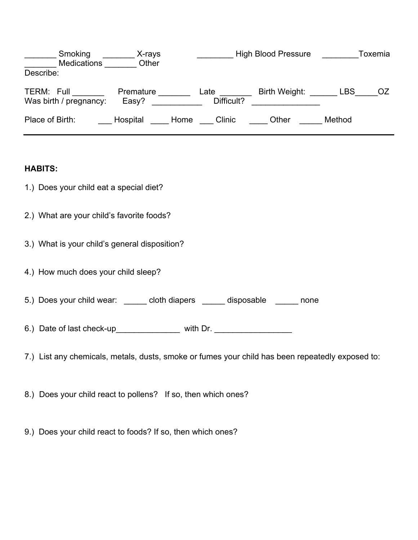| Smoking<br><b>Medications</b>        | X-rays<br>Other    | <b>High Blood Pressure</b> |               | Toxemia |    |
|--------------------------------------|--------------------|----------------------------|---------------|---------|----|
| Describe:                            |                    |                            |               |         |    |
| TERM: Full<br>Was birth / pregnancy: | Premature<br>Easy? | Late<br>Difficult?         | Birth Weight: | LBS     | OZ |
| Place of Birth:                      | Hospital<br>Home   | Clinic                     | Other         | Method  |    |

### **HABITS:**

- 1.) Does your child eat a special diet?
- 2.) What are your child's favorite foods?
- 3.) What is your child's general disposition?
- 4.) How much does your child sleep?
- 5.) Does your child wear: \_\_\_\_\_\_ cloth diapers \_\_\_\_\_ disposable \_\_\_\_\_ none
- 6.) Date of last check-up\_\_\_\_\_\_\_\_\_\_\_\_\_\_\_\_\_ with Dr. \_\_\_\_\_\_\_\_\_\_\_\_\_\_\_\_\_\_\_\_\_\_\_\_\_\_\_\_
- 7.) List any chemicals, metals, dusts, smoke or fumes your child has been repeatedly exposed to:
- 8.) Does your child react to pollens? If so, then which ones?
- 9.) Does your child react to foods? If so, then which ones?